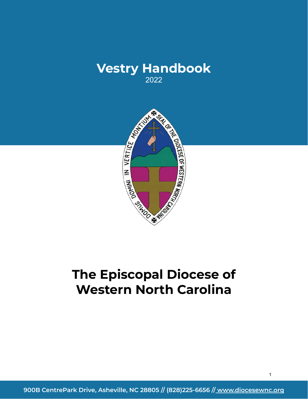



# **The Episcopal Diocese of Western North Carolina**

**900B CentrePark Drive, Asheville, NC 28805 // (828)225-6656 // www.diocesewnc.org**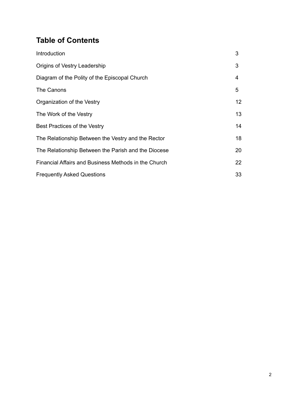# **Table of Contents**

| Introduction                                         | 3               |
|------------------------------------------------------|-----------------|
| Origins of Vestry Leadership                         | 3               |
| Diagram of the Polity of the Episcopal Church        | 4               |
| The Canons                                           | 5               |
| Organization of the Vestry                           | 12 <sup>2</sup> |
| The Work of the Vestry                               | 13              |
| Best Practices of the Vestry                         | 14              |
| The Relationship Between the Vestry and the Rector   | 18              |
| The Relationship Between the Parish and the Diocese  | 20              |
| Financial Affairs and Business Methods in the Church | 22              |
| <b>Frequently Asked Questions</b>                    | 33              |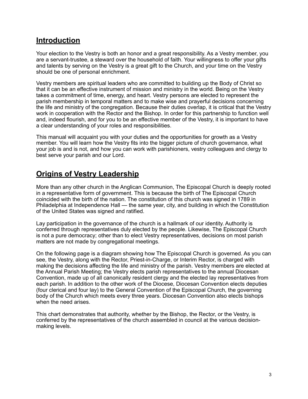# **Introduction**

Your election to the Vestry is both an honor and a great responsibility. As a Vestry member, you are a servant-trustee, a steward over the household of faith. Your willingness to offer your gifts and talents by serving on the Vestry is a great gift to the Church, and your time on the Vestry should be one of personal enrichment.

Vestry members are spiritual leaders who are committed to building up the Body of Christ so that it can be an effective instrument of mission and ministry in the world. Being on the Vestry takes a commitment of time, energy, and heart. Vestry persons are elected to represent the parish membership in temporal matters and to make wise and prayerful decisions concerning the life and ministry of the congregation. Because their duties overlap, it is critical that the Vestry work in cooperation with the Rector and the Bishop. In order for this partnership to function well and, indeed flourish, and for you to be an effective member of the Vestry, it is important to have a clear understanding of your roles and responsibilities.

This manual will acquaint you with your duties and the opportunities for growth as a Vestry member. You will learn how the Vestry fits into the bigger picture of church governance, what your job is and is not, and how you can work with parishioners, vestry colleagues and clergy to best serve your parish and our Lord.

# **Origins of Vestry Leadership**

More than any other church in the Anglican Communion, The Episcopal Church is deeply rooted in a representative form of government. This is because the birth of The Episcopal Church coincided with the birth of the nation. The constitution of this church was signed in 1789 in Philadelphia at Independence Hall — the same year, city, and building in which the Constitution of the United States was signed and ratified.

Lay participation in the governance of the church is a hallmark of our identity. Authority is conferred through representatives duly elected by the people. Likewise, The Episcopal Church is not a pure democracy; other than to elect Vestry representatives, decisions on most parish matters are not made by congregational meetings.

On the following page is a diagram showing how The Episcopal Church is governed. As you can see, the Vestry, along with the Rector, Priest-in-Charge, or Interim Rector, is charged with making the decisions affecting the life and ministry of the parish. Vestry members are elected at the Annual Parish Meeting; the Vestry elects parish representatives to the annual Diocesan Convention, made up of all canonically resident clergy and the elected lay representatives from each parish. In addition to the other work of the Diocese, Diocesan Convention elects deputies (four clerical and four lay) to the General Convention of the Episcopal Church, the governing body of the Church which meets every three years. Diocesan Convention also elects bishops when the need arises.

This chart demonstrates that authority, whether by the Bishop, the Rector, or the Vestry, is conferred by the representatives of the church assembled in council at the various decisionmaking levels.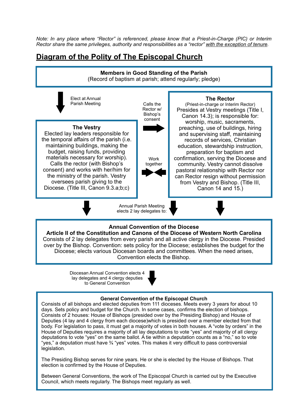*Note: In any place where "Rector" is referenced, please know that a Priest-in-Charge (PIC) or Interim Rector share the same privileges, authority and responsibilities as a "rector" with the exception of tenure.*

# **Diagram of the Polity of The Episcopal Church**



Between General Conventions, the work of The Episcopal Church is carried out by the Executive Council, which meets regularly. The Bishops meet regularly as well.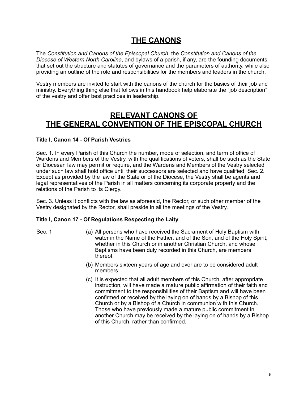# **THE CANONS**

The *Constitution and Canons of the Episcopal Church*, the *Constitution and Canons of the Diocese of Western North Carolina*, and bylaws of a parish, if any, are the founding documents that set out the structure and statutes of governance and the parameters of authority, while also providing an outline of the role and responsibilities for the members and leaders in the church.

Vestry members are invited to start with the canons of the church for the basics of their job and ministry. Everything thing else that follows in this handbook help elaborate the "job description" of the vestry and offer best practices in leadership.

# **RELEVANT CANONS OF THE GENERAL CONVENTION OF THE EPISCOPAL CHURCH**

# **Title I, Canon 14 - Of Parish Vestries**

Sec. 1. In every Parish of this Church the number, mode of selection, and term of office of Wardens and Members of the Vestry, with the qualifications of voters, shall be such as the State or Diocesan law may permit or require, and the Wardens and Members of the Vestry selected under such law shall hold office until their successors are selected and have qualified. Sec. 2. Except as provided by the law of the State or of the Diocese, the Vestry shall be agents and legal representatives of the Parish in all matters concerning its corporate property and the relations of the Parish to its Clergy.

Sec. 3. Unless it conflicts with the law as aforesaid, the Rector, or such other member of the Vestry designated by the Rector, shall preside in all the meetings of the Vestry.

# **Title I, Canon 17 - Of Regulations Respecting the Laity**

- Sec. 1 (a) All persons who have received the Sacrament of Holy Baptism with water in the Name of the Father, and of the Son, and of the Holy Spirit, whether in this Church or in another Christian Church, and whose Baptisms have been duly recorded in this Church, are members thereof.
	- (b) Members sixteen years of age and over are to be considered adult members.
	- (c) It is expected that all adult members of this Church, after appropriate instruction, will have made a mature public affirmation of their faith and commitment to the responsibilities of their Baptism and will have been confirmed or received by the laying on of hands by a Bishop of this Church or by a Bishop of a Church in communion with this Church. Those who have previously made a mature public commitment in another Church may be received by the laying on of hands by a Bishop of this Church, rather than confirmed.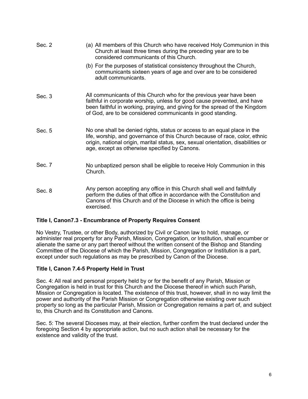| Sec. 2 | (a) All members of this Church who have received Holy Communion in this<br>Church at least three times during the preceding year are to be<br>considered communicants of this Church.                                                                                                         |  |  |  |
|--------|-----------------------------------------------------------------------------------------------------------------------------------------------------------------------------------------------------------------------------------------------------------------------------------------------|--|--|--|
|        | (b) For the purposes of statistical consistency throughout the Church,<br>communicants sixteen years of age and over are to be considered<br>adult communicants.                                                                                                                              |  |  |  |
| Sec. 3 | All communicants of this Church who for the previous year have been<br>faithful in corporate worship, unless for good cause prevented, and have<br>been faithful in working, praying, and giving for the spread of the Kingdom<br>of God, are to be considered communicants in good standing. |  |  |  |
| Sec. 5 | No one shall be denied rights, status or access to an equal place in the<br>life, worship, and governance of this Church because of race, color, ethnic<br>origin, national origin, marital status, sex, sexual orientation, disabilities or<br>age, except as otherwise specified by Canons. |  |  |  |
| Sec. 7 | No unbaptized person shall be eligible to receive Holy Communion in this<br>Church.                                                                                                                                                                                                           |  |  |  |
| Sec. 8 | Any person accepting any office in this Church shall well and faithfully<br>perform the duties of that office in accordance with the Constitution and<br>Canons of this Church and of the Diocese in which the office is being<br>exercised.                                                  |  |  |  |

# **Title I, Canon7.3 - Encumbrance of Property Requires Consent**

No Vestry, Trustee, or other Body, authorized by Civil or Canon law to hold, manage, or administer real property for any Parish, Mission, Congregation, or Institution, shall encumber or alienate the same or any part thereof without the written consent of the Bishop and Standing Committee of the Diocese of which the Parish, Mission, Congregation or Institution is a part, except under such regulations as may be prescribed by Canon of the Diocese.

# **Title I, Canon 7.4-5 Property Held in Trust**

Sec. 4: All real and personal property held by or for the benefit of any Parish, Mission or Congregation is held in trust for this Church and the Diocese thereof in which such Parish, Mission or Congregation is located. The existence of this trust, however, shall in no way limit the power and authority of the Parish Mission or Congregation otherwise existing over such property so long as the particular Parish, Mission or Congregation remains a part of, and subject to, this Church and its Constitution and Canons.

Sec. 5: The several Dioceses may, at their election, further confirm the trust declared under the foregoing Section 4 by appropriate action, but no such action shall be necessary for the existence and validity of the trust.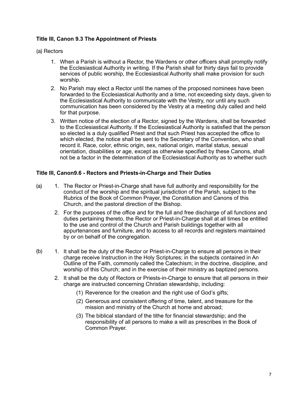# **Title III, Canon 9.3 The Appointment of Priests**

#### (a) Rectors

- 1. When a Parish is without a Rector, the Wardens or other officers shall promptly notify the Ecclesiastical Authority in writing. If the Parish shall for thirty days fail to provide services of public worship, the Ecclesiastical Authority shall make provision for such worship.
- 2. No Parish may elect a Rector until the names of the proposed nominees have been forwarded to the Ecclesiastical Authority and a time, not exceeding sixty days, given to the Ecclesiastical Authority to communicate with the Vestry, nor until any such communication has been considered by the Vestry at a meeting duly called and held for that purpose.
- 3. Written notice of the election of a Rector, signed by the Wardens, shall be forwarded to the Ecclesiastical Authority. If the Ecclesiastical Authority is satisfied that the person so elected is a duly qualified Priest and that such Priest has accepted the office to which elected, the notice shall be sent to the Secretary of the Convention, who shall record it. Race, color, ethnic origin, sex, national origin, marital status, sexual orientation, disabilities or age, except as otherwise specified by these Canons, shall not be a factor in the determination of the Ecclesiastical Authority as to whether such

# **Title III, Canon9.6 - Rectors and Priests-in-Charge and Their Duties**

- (a) 1. The Rector or Priest-in-Charge shall have full authority and responsibility for the conduct of the worship and the spiritual jurisdiction of the Parish, subject to the Rubrics of the Book of Common Prayer, the Constitution and Canons of this Church, and the pastoral direction of the Bishop.
	- 2. For the purposes of the office and for the full and free discharge of all functions and duties pertaining thereto, the Rector or Priest-in-Charge shall at all times be entitled to the use and control of the Church and Parish buildings together with all appurtenances and furniture, and to access to all records and registers maintained by or on behalf of the congregation.
- 1. It shall be the duty of the Rector or Priest-in-Charge to ensure all persons in their charge receive Instruction in the Holy Scriptures; in the subjects contained in An Outline of the Faith, commonly called the Catechism; in the doctrine, discipline, and worship of this Church; and in the exercise of their ministry as baptized persons. (b)
	- 2. It shall be the duty of Rectors or Priests-in-Charge to ensure that all persons in their charge are instructed concerning Christian stewardship, including:
		- (1) Reverence for the creation and the right use of God's gifts;
		- (2) Generous and consistent offering of time, talent, and treasure for the mission and ministry of the Church at home and abroad;
		- (3) The biblical standard of the tithe for financial stewardship; and the responsibility of all persons to make a will as prescribes in the Book of Common Prayer.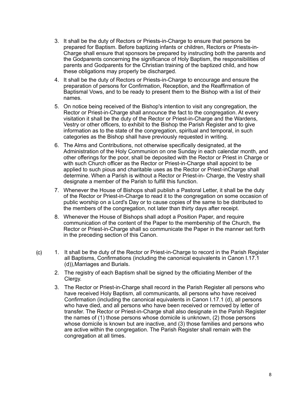- 3. It shall be the duty of Rectors or Priests-in-Charge to ensure that persons be prepared for Baptism. Before baptizing infants or children, Rectors or Priests-in-Charge shall ensure that sponsors be prepared by instructing both the parents and the Godparents concerning the significance of Holy Baptism, the responsibilities of parents and Godparents for the Christian training of the baptized child, and how these obligations may properly be discharged.
- 4. It shall be the duty of Rectors or Priests-in-Charge to encourage and ensure the preparation of persons for Confirmation, Reception, and the Reaffirmation of Baptismal Vows, and to be ready to present them to the Bishop with a list of their names.
- 5. On notice being received of the Bishop's intention to visit any congregation, the Rector or Priest-in-Charge shall announce the fact to the congregation. At every visitation it shall be the duty of the Rector or Priest-in-Charge and the Wardens, Vestry or other officers, to exhibit to the Bishop the Parish Register and to give information as to the state of the congregation, spiritual and temporal, in such categories as the Bishop shall have previously requested in writing.
- 6. The Alms and Contributions, not otherwise specifically designated, at the Administration of the Holy Communion on one Sunday in each calendar month, and other offerings for the poor, shall be deposited with the Rector or Priest in Charge or with such Church officer as the Rector or Priest-in-Charge shall appoint to be applied to such pious and charitable uses as the Rector or Priest-inCharge shall determine. When a Parish is without a Rector or Priest-in- Charge, the Vestry shall designate a member of the Parish to fulfill this function.
- 7. Whenever the House of Bishops shall publish a Pastoral Letter, it shall be the duty of the Rector or Priest-in-Charge to read it to the congregation on some occasion of public worship on a Lord's Day or to cause copies of the same to be distributed to the members of the congregation, not later than thirty days after receipt.
- 8. Whenever the House of Bishops shall adopt a Position Paper, and require communication of the content of the Paper to the membership of the Church, the Rector or Priest-in-Charge shall so communicate the Paper in the manner set forth in the preceding section of this Canon.
- 1. It shall be the duty of the Rector or Priest-in-Charge to record in the Parish Register all Baptisms, Confirmations (including the canonical equivalents in Canon I.17.1 (d)),Marriages and Burials. (c)
	- 2. The registry of each Baptism shall be signed by the officiating Member of the Clergy.
	- 3. The Rector or Priest-in-Charge shall record in the Parish Register all persons who have received Holy Baptism, all communicants, all persons who have received Confirmation (including the canonical equivalents in Canon I.17.1 (d), all persons who have died, and all persons who have been received or removed by letter of transfer. The Rector or Priest-in-Charge shall also designate in the Parish Register the names of (1) those persons whose domicile is unknown, (2) those persons whose domicile is known but are inactive, and (3) those families and persons who are active within the congregation. The Parish Register shall remain with the congregation at all times.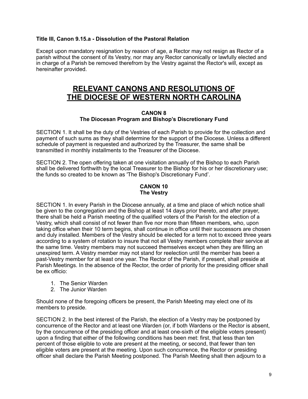# **Title III, Canon 9.15.a - Dissolution of the Pastoral Relation**

Except upon mandatory resignation by reason of age, a Rector may not resign as Rector of a parish without the consent of its Vestry, nor may any Rector canonically or lawfully elected and in charge of a Parish be removed therefrom by the Vestry against the Rector's will, except as hereinafter provided.

# **RELEVANT CANONS AND RESOLUTIONS OF THE DIOCESE OF WESTERN NORTH CAROLINA**

#### **CANON 8 The Diocesan Program and Bishop's Discretionary Fund**

SECTION 1. It shall be the duty of the Vestries of each Parish to provide for the collection and payment of such sums as they shall determine for the support of the Diocese. Unless a different schedule of payment is requested and authorized by the Treasurer, the same shall be transmitted in monthly installments to the Treasurer of the Diocese.

SECTION 2. The open offering taken at one visitation annually of the Bishop to each Parish shall be delivered forthwith by the local Treasurer to the Bishop for his or her discretionary use; the funds so created to be known as 'The Bishop's Discretionary Fund'.

# **CANON 10 The Vestry**

SECTION 1. In every Parish in the Diocese annually, at a time and place of which notice shall be given to the congregation and the Bishop at least 14 days prior thereto, and after prayer, there shall be held a Parish meeting of the qualified voters of the Parish for the election of a Vestry, which shall consist of not fewer than five nor more than fifteen members, who, upon taking office when their 10 term begins, shall continue in office until their successors are chosen and duly installed. Members of the Vestry should be elected for a term not to exceed three years according to a system of rotation to insure that not all Vestry members complete their service at the same time. Vestry members may not succeed themselves except when they are filling an unexpired term. A Vestry member may not stand for reelection until the member has been a past-Vestry member for at least one year. The Rector of the Parish, if present, shall preside at Parish Meetings. In the absence of the Rector, the order of priority for the presiding officer shall be ex officio:

- 1. The Senior Warden
- 2. The Junior Warden

Should none of the foregoing officers be present, the Parish Meeting may elect one of its members to preside.

SECTION 2. In the best interest of the Parish, the election of a Vestry may be postponed by concurrence of the Rector and at least one Warden (or, if both Wardens or the Rector is absent, by the concurrence of the presiding officer and at least one-sixth of the eligible voters present) upon a finding that either of the following conditions has been met: first, that less than ten percent of those eligible to vote are present at the meeting, or second, that fewer than ten eligible voters are present at the meeting. Upon such concurrence, the Rector or presiding officer shall declare the Parish Meeting postponed. The Parish Meeting shall then adjourn to a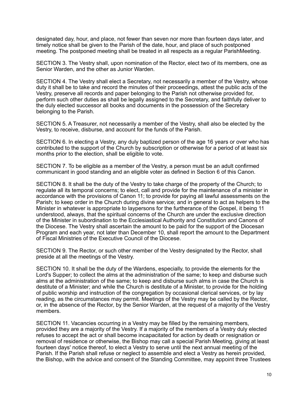designated day, hour, and place, not fewer than seven nor more than fourteen days later, and timely notice shall be given to the Parish of the date, hour, and place of such postponed meeting. The postponed meeting shall be treated in all respects as a regular ParishMeeting.

SECTION 3. The Vestry shall, upon nomination of the Rector, elect two of its members, one as Senior Warden, and the other as Junior Warden.

SECTION 4. The Vestry shall elect a Secretary, not necessarily a member of the Vestry, whose duty it shall be to take and record the minutes of their proceedings, attest the public acts of the Vestry, preserve all records and paper belonging to the Parish not otherwise provided for, perform such other duties as shall be legally assigned to the Secretary, and faithfully deliver to the duly elected successor all books and documents in the possession of the Secretary belonging to the Parish.

SECTION 5. A Treasurer, not necessarily a member of the Vestry, shall also be elected by the Vestry, to receive, disburse, and account for the funds of the Parish.

SECTION 6. In electing a Vestry, any duly baptized person of the age 16 years or over who has contributed to the support of the Church by subscription or otherwise for a period of at least six months prior to the election, shall be eligible to vote.

SECTION 7. To be eligible as a member of the Vestry, a person must be an adult confirmed communicant in good standing and an eligible voter as defined in Section 6 of this Canon.

SECTION 8. It shall be the duty of the Vestry to take charge of the property of the Church; to regulate all its temporal concerns; to elect, call and provide for the maintenance of a minister in accordance with the provisions of Canon 11; to provide for paying all lawful assessments on the Parish; to keep order in the Church during divine service; and in general to act as helpers to the Minister in whatever is appropriate to laypersons for the furtherance of the Gospel, it being 11 understood, always, that the spiritual concerns of the Church are under the exclusive direction of the Minister in subordination to the Ecclesiastical Authority and Constitution and Canons of the Diocese. The Vestry shall ascertain the amount to be paid for the support of the Diocesan Program and each year, not later than December 10, shall report the amount to the Department of Fiscal Ministries of the Executive Council of the Diocese.

SECTION 9. The Rector, or such other member of the Vestry designated by the Rector, shall preside at all the meetings of the Vestry.

SECTION 10. It shall be the duty of the Wardens, especially, to provide the elements for the Lord's Supper; to collect the alms at the administration of the same; to keep and disburse such alms at the administration of the same; to keep and disburse such alms in case the Church is destitute of a Minister; and while the Church is destitute of a Minister, to provide for the holding of public worship and instruction of the congregation by occasional clerical services, or by lay reading, as the circumstances may permit. Meetings of the Vestry may be called by the Rector, or, in the absence of the Rector, by the Senior Warden, at the request of a majority of the Vestry members.

SECTION 11. Vacancies occurring in a Vestry may be filled by the remaining members, provided they are a majority of the Vestry. If a majority of the members of a Vestry duly elected refuses to accept the act or shall become incapacitated for action by death or resignation or removal of residence or otherwise, the Bishop may call a special Parish Meeting, giving at least fourteen days' notice thereof, to elect a Vestry to serve until the next annual meeting of the Parish. If the Parish shall refuse or neglect to assemble and elect a Vestry as herein provided, the Bishop, with the advice and consent of the Standing Committee, may appoint three Trustees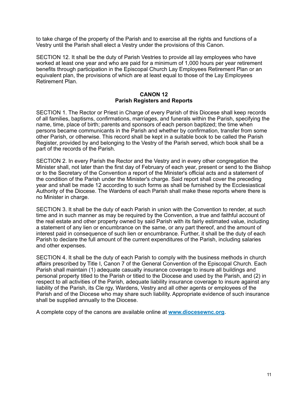to take charge of the property of the Parish and to exercise all the rights and functions of a Vestry until the Parish shall elect a Vestry under the provisions of this Canon.

SECTION 12. It shall be the duty of Parish Vestries to provide all lay employees who have worked at least one year and who are paid for a minimum of 1,000 hours per year retirement benefits through participation in the Episcopal Church Lay Employees Retirement Plan or an equivalent plan, the provisions of which are at least equal to those of the Lay Employees Retirement Plan.

#### **CANON 12 Parish Registers and Reports**

SECTION 1. The Rector or Priest in Charge of every Parish of this Diocese shall keep records of all families, baptisms, confirmations, marriages, and funerals within the Parish, specifying the name, time, place of birth; parents and sponsors of each person baptized; the time when persons became communicants in the Parish and whether by confirmation, transfer from some other Parish, or otherwise. This record shall be kept in a suitable book to be called the Parish Register, provided by and belonging to the Vestry of the Parish served, which book shall be a part of the records of the Parish.

SECTION 2. In every Parish the Rector and the Vestry and in every other congregation the Minister shall, not later than the first day of February of each year, present or send to the Bishop or to the Secretary of the Convention a report of the Minister's official acts and a statement of the condition of the Parish under the Minister's charge. Said report shall cover the preceding year and shall be made 12 according to such forms as shall be furnished by the Ecclesiastical Authority of the Diocese. The Wardens of each Parish shall make these reports where there is no Minister in charge.

SECTION 3. It shall be the duty of each Parish in union with the Convention to render, at such time and in such manner as may be required by the Convention, a true and faithful account of the real estate and other property owned by said Parish with its fairly estimated value, including a statement of any lien or encumbrance on the same, or any part thereof, and the amount of interest paid in consequence of such lien or encumbrance. Further, it shall be the duty of each Parish to declare the full amount of the current expenditures of the Parish, including salaries and other expenses.

SECTION 4. It shall be the duty of each Parish to comply with the business methods in church affairs prescribed by Title I, Canon 7 of the General Convention of the Episcopal Church. Each Parish shall maintain (1) adequate casualty insurance coverage to insure all buildings and personal property titled to the Parish or titled to the Diocese and used by the Parish, and (2) in respect to all activities of the Parish, adequate liability insurance coverage to insure against any liability of the Parish, its Cle rgy, Wardens, Vestry and all other agents or employees of the Parish and of the Diocese who may share such liability. Appropriate evidence of such insurance shall be supplied annually to the Diocese.

A complete copy of the canons are available online at **[www.diocesewnc.org](http://www.diocesewnc.org)**.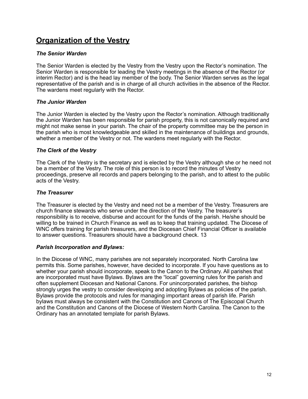# **Organization of the Vestry**

# *The Senior Warden*

The Senior Warden is elected by the Vestry from the Vestry upon the Rector's nomination. The Senior Warden is responsible for leading the Vestry meetings in the absence of the Rector (or interim Rector) and is the head lay member of the body. The Senior Warden serves as the legal representative of the parish and is in charge of all church activities in the absence of the Rector. The wardens meet regularly with the Rector.

#### *The Junior Warden*

The Junior Warden is elected by the Vestry upon the Rector's nomination. Although traditionally the Junior Warden has been responsible for parish property, this is not canonically required and might not make sense in your parish. The chair of the property committee may be the person in the parish who is most knowledgeable and skilled in the maintenance of buildings and grounds, whether a member of the Vestry or not. The wardens meet regularly with the Rector.

#### *The Clerk of the Vestry*

The Clerk of the Vestry is the secretary and is elected by the Vestry although she or he need not be a member of the Vestry. The role of this person is to record the minutes of Vestry proceedings, preserve all records and papers belonging to the parish, and to attest to the public acts of the Vestry.

# *The Treasurer*

The Treasurer is elected by the Vestry and need not be a member of the Vestry. Treasurers are church finance stewards who serve under the direction of the Vestry. The treasurer's responsibility is to receive, disburse and account for the funds of the parish. He/she should be willing to be trained in Church Finance as well as to keep that training updated. The Diocese of WNC offers training for parish treasurers, and the Diocesan Chief Financial Officer is available to answer questions. Treasurers should have a background check. 13

#### *Parish Incorporation and Bylaws:*

In the Diocese of WNC, many parishes are not separately incorporated. North Carolina law permits this. Some parishes, however, have decided to incorporate. If you have questions as to whether your parish should incorporate, speak to the Canon to the Ordinary. All parishes that are incorporated must have Bylaws. Bylaws are the "local" governing rules for the parish and often supplement Diocesan and National Canons. For unincorporated parishes, the bishop strongly urges the vestry to consider developing and adopting Bylaws as policies of the parish. Bylaws provide the protocols and rules for managing important areas of parish life. Parish bylaws must always be consistent with the Constitution and Canons of The Episcopal Church and the Constitution and Canons of the Diocese of Western North Carolina. The Canon to the Ordinary has an annotated template for parish Bylaws.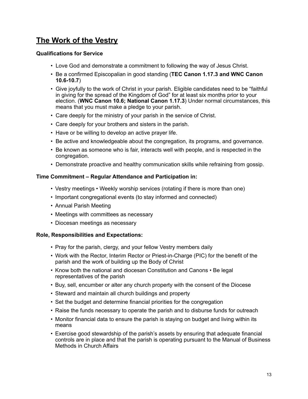# **The Work of the Vestry**

# **Qualifications for Service**

- Love God and demonstrate a commitment to following the way of Jesus Christ.
- Be a confirmed Episcopalian in good standing (**TEC Canon 1.17.3 and WNC Canon 10.6-10.7**)
- Give joyfully to the work of Christ in your parish. Eligible candidates need to be "faithful in giving for the spread of the Kingdom of God" for at least six months prior to your election. (**WNC Canon 10.6; National Canon 1.17.3**) Under normal circumstances, this means that you must make a pledge to your parish.
- Care deeply for the ministry of your parish in the service of Christ.
- Care deeply for your brothers and sisters in the parish.
- Have or be willing to develop an active prayer life.
- Be active and knowledgeable about the congregation, its programs, and governance.
- Be known as someone who is fair, interacts well with people, and is respected in the congregation.
- Demonstrate proactive and healthy communication skills while refraining from gossip.

# **Time Commitment – Regular Attendance and Participation in:**

- Vestry meetings Weekly worship services (rotating if there is more than one)
- Important congregational events (to stay informed and connected)
- Annual Parish Meeting
- Meetings with committees as necessary
- Diocesan meetings as necessary

#### **Role, Responsibilities and Expectations:**

- Pray for the parish, clergy, and your fellow Vestry members daily
- Work with the Rector, Interim Rector or Priest-in-Charge (PIC) for the benefit of the parish and the work of building up the Body of Christ
- Know both the national and diocesan Constitution and Canons Be legal representatives of the parish
- Buy, sell, encumber or alter any church property with the consent of the Diocese
- Steward and maintain all church buildings and property
- Set the budget and determine financial priorities for the congregation
- Raise the funds necessary to operate the parish and to disburse funds for outreach
- Monitor financial data to ensure the parish is staying on budget and living within its means
- Exercise good stewardship of the parish's assets by ensuring that adequate financial controls are in place and that the parish is operating pursuant to the Manual of Business Methods in Church Affairs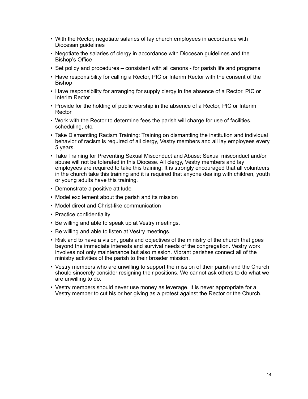- With the Rector, negotiate salaries of lay church employees in accordance with Diocesan guidelines
- Negotiate the salaries of clergy in accordance with Diocesan guidelines and the Bishop's Office
- Set policy and procedures consistent with all canons for parish life and programs
- Have responsibility for calling a Rector, PIC or Interim Rector with the consent of the Bishop
- Have responsibility for arranging for supply clergy in the absence of a Rector, PIC or Interim Rector
- Provide for the holding of public worship in the absence of a Rector, PIC or Interim Rector
- Work with the Rector to determine fees the parish will charge for use of facilities, scheduling, etc.
- Take Dismantling Racism Training: Training on dismantling the institution and individual behavior of racism is required of all clergy, Vestry members and all lay employees every 5 years.
- Take Training for Preventing Sexual Misconduct and Abuse: Sexual misconduct and/or abuse will not be tolerated in this Diocese. All clergy, Vestry members and lay employees are required to take this training. It is strongly encouraged that all volunteers in the church take this training and it is required that anyone dealing with children, youth or young adults have this training.
- Demonstrate a positive attitude
- Model excitement about the parish and its mission
- Model direct and Christ-like communication
- Practice confidentiality
- Be willing and able to speak up at Vestry meetings.
- Be willing and able to listen at Vestry meetings.
- Risk and to have a vision, goals and objectives of the ministry of the church that goes beyond the immediate interests and survival needs of the congregation. Vestry work involves not only maintenance but also mission. Vibrant parishes connect all of the ministry activities of the parish to their broader mission.
- Vestry members who are unwilling to support the mission of their parish and the Church should sincerely consider resigning their positions. We cannot ask others to do what we are unwilling to do.
- Vestry members should never use money as leverage. It is never appropriate for a Vestry member to cut his or her giving as a protest against the Rector or the Church.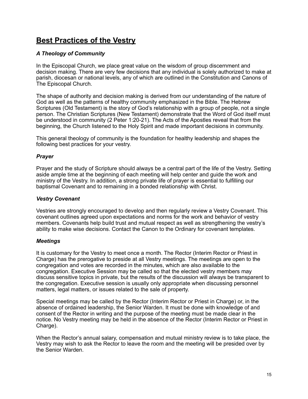# **Best Practices of the Vestry**

# *A Theology of Community*

In the Episcopal Church, we place great value on the wisdom of group discernment and decision making. There are very few decisions that any individual is solely authorized to make at parish, diocesan or national levels, any of which are outlined in the Constitution and Canons of The Episcopal Church.

The shape of authority and decision making is derived from our understanding of the nature of God as well as the patterns of healthy community emphasized in the Bible. The Hebrew Scriptures (Old Testament) is the story of God's relationship with a group of people, not a single person. The Christian Scriptures (New Testament) demonstrate that the Word of God itself must be understood in community (2 Peter 1:20-21). The Acts of the Apostles reveal that from the beginning, the Church listened to the Holy Spirit and made important decisions in community.

This general theology of community is the foundation for healthy leadership and shapes the following best practices for your vestry.

# *Prayer*

Prayer and the study of Scripture should always be a central part of the life of the Vestry. Setting aside ample time at the beginning of each meeting will help center and guide the work and ministry of the Vestry. In addition, a strong private life of prayer is essential to fulfilling our baptismal Covenant and to remaining in a bonded relationship with Christ.

# *Vestry Covenant*

Vestries are strongly encouraged to develop and then regularly review a Vestry Covenant. This covenant outlines agreed upon expectations and norms for the work and behavior of vestry members. Covenants help build trust and mutual respect as well as strengthening the vestry's ability to make wise decisions. Contact the Canon to the Ordinary for covenant templates.

# *Meetings*

It is customary for the Vestry to meet once a month. The Rector (Interim Rector or Priest in Charge) has the prerogative to preside at all Vestry meetings. The meetings are open to the congregation and votes are recorded in the minutes, which are also available to the congregation. Executive Session may be called so that the elected vestry members may discuss sensitive topics in private, but the results of the discussion will always be transparent to the congregation. Executive session is usually only appropriate when discussing personnel matters, legal matters, or issues related to the sale of property.

Special meetings may be called by the Rector (Interim Rector or Priest in Charge) or, in the absence of ordained leadership, the Senior Warden. It must be done with knowledge of and consent of the Rector in writing and the purpose of the meeting must be made clear in the notice. No Vestry meeting may be held in the absence of the Rector (Interim Rector or Priest in Charge).

When the Rector's annual salary, compensation and mutual ministry review is to take place, the Vestry may wish to ask the Rector to leave the room and the meeting will be presided over by the Senior Warden.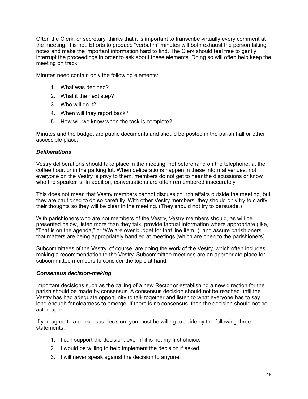Often the Clerk, or secretary, thinks that it is important to transcribe virtually every comment at the meeting. It is not. Efforts to produce "verbatim" minutes will both exhaust the person taking notes and make the important information hard to find. The Clerk should feel free to gently interrupt the proceedings in order to ask about these elements. Doing so will often help keep the meeting on track!

Minutes need contain only the following elements:

- 1. What was decided?
- 2. What it the next step?
- 3. Who will do it?
- 4. When will they report back?
- 5. How will we know when the task is complete?

Minutes and the budget are public documents and should be posted in the parish hall or other accessible place.

#### *Deliberations*

Vestry deliberations should take place in the meeting, not beforehand on the telephone, at the coffee hour, or in the parking lot. When deliberations happen in these informal venues, not everyone on the Vestry is privy to them, members do not get to hear the discussions or know who the speaker is. In addition, conversations are often remembered inaccurately.

This does not mean that Vestry members cannot discuss church affairs outside the meeting, but they are cautioned to do so carefully. With other Vestry members, they should only try to clarify their thoughts so they will be clear in the meeting. (They should not try to persuade.)

With parishioners who are not members of the Vestry, Vestry members should, as will be presented below, listen more than they talk, provide factual information where appropriate (like, "That is on the agenda," or "We are over budget for that line item,"), and assure parishioners that matters are being appropriately handled at meetings (which are open to the parishioners).

Subcommittees of the Vestry, of course, are doing the work of the Vestry, which often includes making a recommendation to the Vestry. Subcommittee meetings are an appropriate place for subcommittee members to consider the topic at hand.

# *Consensus decision-making*

Important decisions such as the calling of a new Rector or establishing a new direction for the parish should be made by consensus. A consensus decision should not be reached until the Vestry has had adequate opportunity to talk together and listen to what everyone has to say long enough for clearness to emerge. If there is no consensus, then the decision should not be acted upon.

If you agree to a consensus decision, you must be willing to abide by the following three statements:

- 1. I can support the decision, even if it is not my first choice.
- 2. I would be willing to help implement the decision if asked.
- 3. I will never speak against the decision to anyone.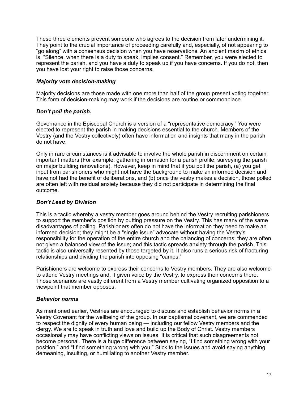These three elements prevent someone who agrees to the decision from later undermining it. They point to the crucial importance of proceeding carefully and, especially, of not appearing to "go along" with a consensus decision when you have reservations. An ancient maxim of ethics is, "Silence, when there is a duty to speak, implies consent." Remember, you were elected to represent the parish, and you have a duty to speak up if you have concerns. If you do not, then you have lost your right to raise those concerns.

# *Majority vote decision-making*

Majority decisions are those made with one more than half of the group present voting together. This form of decision-making may work if the decisions are routine or commonplace.

#### *Don't poll the parish.*

Governance in the Episcopal Church is a version of a "representative democracy." You were elected to represent the parish in making decisions essential to the church. Members of the Vestry (and the Vestry collectively) often have information and insights that many in the parish do not have.

Only in rare circumstances is it advisable to involve the whole parish in discernment on certain important matters (For example: gathering information for a parish profile; surveying the parish on major building renovations). However, keep in mind that if you poll the parish, (a) you get input from parishioners who might not have the background to make an informed decision and have not had the benefit of deliberations, and (b) once the vestry makes a decision, those polled are often left with residual anxiety because they did not participate in determining the final outcome.

#### *Don't Lead by Division*

This is a tactic whereby a vestry member goes around behind the Vestry recruiting parishioners to support the member's position by putting pressure on the Vestry. This has many of the same disadvantages of polling. Parishioners often do not have the information they need to make an informed decision; they might be a "single issue" advocate without having the Vestry's responsibility for the operation of the entire church and the balancing of concerns; they are often not given a balanced view of the issue; and this tactic spreads anxiety through the parish. This tactic is also universally resented by those targeted by it. It also runs a serious risk of fracturing relationships and dividing the parish into opposing "camps."

Parishioners are welcome to express their concerns to Vestry members. They are also welcome to attend Vestry meetings and, if given voice by the Vestry, to express their concerns there. Those scenarios are vastly different from a Vestry member cultivating organized opposition to a viewpoint that member opposes.

#### *Behavior norms*

As mentioned earlier, Vestries are encouraged to discuss and establish behavior norms in a Vestry Covenant for the wellbeing of the group. In our baptismal covenant, we are commended to respect the dignity of every human being — including our fellow Vestry members and the clergy. We are to speak in truth and love and build up the Body of Christ. Vestry members occasionally may have conflicting views on issues. It is critical that such disagreements not become personal. There is a huge difference between saying, "I find something wrong with your position," and "I find something wrong with you." Stick to the issues and avoid saying anything demeaning, insulting, or humiliating to another Vestry member.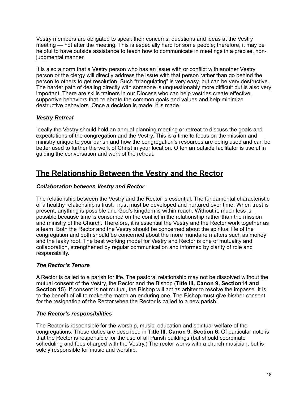Vestry members are obligated to speak their concerns, questions and ideas at the Vestry meeting — not after the meeting. This is especially hard for some people; therefore, it may be helpful to have outside assistance to teach how to communicate in meetings in a precise, nonjudgmental manner.

It is also a norm that a Vestry person who has an issue with or conflict with another Vestry person or the clergy will directly address the issue with that person rather than go behind the person to others to get resolution. Such "triangulating" is very easy, but can be very destructive. The harder path of dealing directly with someone is unquestionably more difficult but is also very important. There are skills trainers in our Diocese who can help vestries create effective, supportive behaviors that celebrate the common goals and values and help minimize destructive behaviors. Once a decision is made, it is made.

# *Vestry Retreat*

Ideally the Vestry should hold an annual planning meeting or retreat to discuss the goals and expectations of the congregation and the Vestry. This is a time to focus on the mission and ministry unique to your parish and how the congregation's resources are being used and can be better used to further the work of Christ in your location. Often an outside facilitator is useful in guiding the conversation and work of the retreat.

# **The Relationship Between the Vestry and the Rector**

# *Collaboration between Vestry and Rector*

The relationship between the Vestry and the Rector is essential. The fundamental characteristic of a healthy relationship is trust. Trust must be developed and nurtured over time. When trust is present, anything is possible and God's kingdom is within reach. Without it, much less is possible because time is consumed on the conflict in the relationship rather than the mission and ministry of the Church. Therefore, it is essential the Vestry and the Rector work together as a team. Both the Rector and the Vestry should be concerned about the spiritual life of the congregation and both should be concerned about the more mundane matters such as money and the leaky roof. The best working model for Vestry and Rector is one of mutuality and collaboration, strengthened by regular communication and informed by clarity of role and responsibility.

# *The Rector's Tenure*

A Rector is called to a parish for life. The pastoral relationship may not be dissolved without the mutual consent of the Vestry, the Rector and the Bishop (**Title III, Canon 9, Section14 and Section 15**). If consent is not mutual, the Bishop will act as arbiter to resolve the impasse. It is to the benefit of all to make the match an enduring one. The Bishop must give his/her consent for the resignation of the Rector when the Rector is called to a new parish.

# *The Rector's responsibilities*

The Rector is responsible for the worship, music, education and spiritual welfare of the congregations. These duties are described in **Title III, Canon 9, Section 6**. Of particular note is that the Rector is responsible for the use of all Parish buildings (but should coordinate scheduling and fees charged with the Vestry.) The rector works with a church musician, but is solely responsible for music and worship.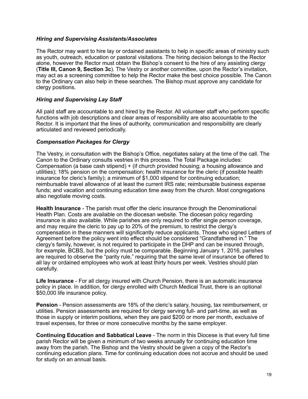# *Hiring and Supervising Assistants/Associates*

The Rector may want to hire lay or ordained assistants to help in specific areas of ministry such as youth, outreach, education or pastoral visitations. The hiring decision belongs to the Rector alone, however the Rector must obtain the Bishop's consent to the hire of any assisting clergy (**Title III, Canon 9, Section 3c**). The Vestry or another committee, upon the Rector's invitation, may act as a screening committee to help the Rector make the best choice possible. The Canon to the Ordinary can also help in these searches. The Bishop must approve any candidate for clergy positions.

# *Hiring and Supervising Lay Staff*

All paid staff are accountable to and hired by the Rector. All volunteer staff who perform specific functions with job descriptions and clear areas of responsibility are also accountable to the Rector. It is important that the lines of authority, communication and responsibility are clearly articulated and reviewed periodically.

# *Compensation Packages for Clergy*

The Vestry, in consultation with the Bishop's Office, negotiates salary at the time of the call. The Canon to the Ordinary consults vestries in this process. The Total Package includes: Compensation (a base cash stipend) + (if church provided housing; a housing allowance and utilities); 18% pension on the compensation; health insurance for the cleric (if possible health insurance for cleric's family); a minimum of \$1,000 stipend for continuing education; reimbursable travel allowance of at least the current IRS rate; reimbursable business expense funds; and vacation and continuing education time away from the church. Most congregations also negotiate moving costs.

**Health Insurance** - The parish must offer the cleric insurance through the Denominational Health Plan. Costs are available on the diocesan website. The diocesan policy regarding insurance is also available. While parishes are only required to offer single person coverage, and may require the cleric to pay up to 20% of the premium, to restrict the clergy's compensation in these manners will significantly reduce applicants. Those who signed Letters of Agreement before the policy went into effect should be considered "Grandfathered in." The clergy's family, however, is not required to participate in the DHP and can be insured through, for example, BCBS, but the policy must be comparable. Beginning January 1, 2016, parishes are required to observe the "parity rule," requiring that the same level of insurance be offered to all lay or ordained employees who work at least thirty hours per week. Vestries should plan carefully.

**Life Insurance** - For all clergy insured with Church Pension, there is an automatic insurance policy in place. In addition, for clergy enrolled with Church Medical Trust, there is an optional \$50,000 life insurance policy.

**Pension** - Pension assessments are 18% of the cleric's salary, housing, tax reimbursement, or utilities. Pension assessments are required for clergy serving full- and part-time, as well as those in supply or interim positions, when they are paid \$200 or more per month, exclusive of travel expenses, for three or more consecutive months by the same employer.

**Continuing Education and Sabbatical Leave** - The norm in this Diocese is that every full time parish Rector will be given a minimum of two weeks annually for continuing education time away from the parish. The Bishop and the Vestry should be given a copy of the Rector's continuing education plans. Time for continuing education does not accrue and should be used for study on an annual basis.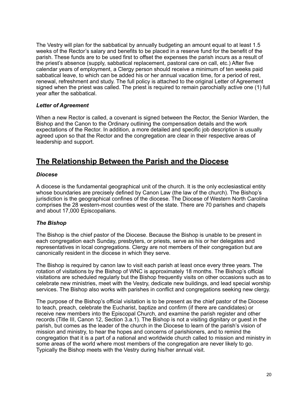The Vestry will plan for the sabbatical by annually budgeting an amount equal to at least 1.5 weeks of the Rector's salary and benefits to be placed in a reserve fund for the benefit of the parish. These funds are to be used first to offset the expenses the parish incurs as a result of the priest's absence (supply, sabbatical replacement, pastoral care on call, etc.) After five calendar years of employment, a Clergy person should receive a minimum of ten weeks paid sabbatical leave, to which can be added his or her annual vacation time, for a period of rest, renewal, refreshment and study. The full policy is attached to the original Letter of Agreement signed when the priest was called. The priest is required to remain parochially active one (1) full year after the sabbatical.

# *Letter of Agreement*

When a new Rector is called, a covenant is signed between the Rector, the Senior Warden, the Bishop and the Canon to the Ordinary outlining the compensation details and the work expectations of the Rector. In addition, a more detailed and specific job description is usually agreed upon so that the Rector and the congregation are clear in their respective areas of leadership and support.

# **The Relationship Between the Parish and the Diocese**

#### *Diocese*

A diocese is the fundamental geographical unit of the church. It is the only ecclesiastical entity whose boundaries are precisely defined by Canon Law (the law of the church). The Bishop's jurisdiction is the geographical confines of the diocese. The Diocese of Western North Carolina comprises the 28 western-most counties west of the state. There are 70 parishes and chapels and about 17,000 Episcopalians.

# *The Bishop*

The Bishop is the chief pastor of the Diocese. Because the Bishop is unable to be present in each congregation each Sunday, presbyters, or priests, serve as his or her delegates and representatives in local congregations. Clergy are not members of their congregation but are canonically resident in the diocese in which they serve.

The Bishop is required by canon law to visit each parish at least once every three years. The rotation of visitations by the Bishop of WNC is approximately 18 months. The Bishop's official visitations are scheduled regularly but the Bishop frequently visits on other occasions such as to celebrate new ministries, meet with the Vestry, dedicate new buildings, and lead special worship services. The Bishop also works with parishes in conflict and congregations seeking new clergy.

The purpose of the Bishop's official visitation is to be present as the chief pastor of the Diocese to teach, preach, celebrate the Eucharist, baptize and confirm (if there are candidates) or receive new members into the Episcopal Church, and examine the parish register and other records (Title III, Canon 12, Section 3.a.1). The Bishop is not a visiting dignitary or guest in the parish, but comes as the leader of the church in the Diocese to learn of the parish's vision of mission and ministry, to hear the hopes and concerns of parishioners, and to remind the congregation that it is a part of a national and worldwide church called to mission and ministry in some areas of the world where most members of the congregation are never likely to go. Typically the Bishop meets with the Vestry during his/her annual visit.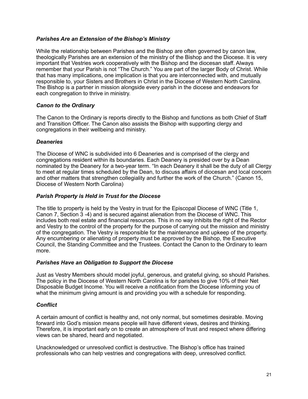# *Parishes Are an Extension of the Bishop's Ministry*

While the relationship between Parishes and the Bishop are often governed by canon law, theologically Parishes are an extension of the ministry of the Bishop and the Diocese. It is very important that Vestries work cooperatively with the Bishop and the diocesan staff. Always remember that your Parish is not "The Church." You are part of the larger Body of Christ. While that has many implications, one implication is that you are interconnected with, and mutually responsible to, your Sisters and Brothers in Christ in the Diocese of Western North Carolina. The Bishop is a partner in mission alongside every parish in the diocese and endeavors for each congregation to thrive in ministry.

# *Canon to the Ordinary*

The Canon to the Ordinary is reports directly to the Bishop and functions as both Chief of Staff and Transition Officer. The Canon also assists the Bishop with supporting clergy and congregations in their wellbeing and ministry.

#### *Deaneries*

The Diocese of WNC is subdivided into 6 Deaneries and is comprised of the clergy and congregations resident within its boundaries. Each Deanery is presided over by a Dean nominated by the Deanery for a two-year term. "In each Deanery it shall be the duty of all Clergy to meet at regular times scheduled by the Dean, to discuss affairs of diocesan and local concern and other matters that strengthen collegiality and further the work of the Church." (Canon 15, Diocese of Western North Carolina)

#### *Parish Property is Held in Trust for the Diocese*

The title to property is held by the Vestry in trust for the Episcopal Diocese of WNC (Title 1, Canon 7, Section 3 -4) and is secured against alienation from the Diocese of WNC. This includes both real estate and financial resources. This in no way inhibits the right of the Rector and Vestry to the control of the property for the purpose of carrying out the mission and ministry of the congregation. The Vestry is responsible for the maintenance and upkeep of the property. Any encumbering or alienating of property must be approved by the Bishop, the Executive Council, the Standing Committee and the Trustees. Contact the Canon to the Ordinary to learn more.

#### *Parishes Have an Obligation to Support the Diocese*

Just as Vestry Members should model joyful, generous, and grateful giving, so should Parishes. The policy in the Diocese of Western North Carolina is for parishes to give 10% of their Net Disposable Budget Income. You will receive a notification from the Diocese informing you of what the minimum giving amount is and providing you with a schedule for responding.

# *Conflict*

A certain amount of conflict is healthy and, not only normal, but sometimes desirable. Moving forward into God's mission means people will have different views, desires and thinking. Therefore, it is important early on to create an atmosphere of trust and respect where differing views can be shared, heard and negotiated.

Unacknowledged or unresolved conflict is destructive. The Bishop's office has trained professionals who can help vestries and congregations with deep, unresolved conflict.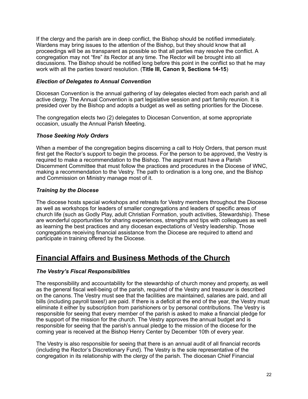If the clergy and the parish are in deep conflict, the Bishop should be notified immediately. Wardens may bring issues to the attention of the Bishop, but they should know that all proceedings will be as transparent as possible so that all parties may resolve the conflict. A congregation may not "fire" its Rector at any time. The Rector will be brought into all discussions. The Bishop should be notified long before this point in the conflict so that he may work with all the parties toward resolution. (**Title III, Canon 9, Sections 14-15**)

# *Election of Delegates to Annual Convention*

Diocesan Convention is the annual gathering of lay delegates elected from each parish and all active clergy. The Annual Convention is part legislative session and part family reunion. It is presided over by the Bishop and adopts a budget as well as setting priorities for the Diocese.

The congregation elects two (2) delegates to Diocesan Convention, at some appropriate occasion, usually the Annual Parish Meeting.

# *Those Seeking Holy Orders*

When a member of the congregation begins discerning a call to Holy Orders, that person must first get the Rector's support to begin the process. For the person to be approved, the Vestry is required to make a recommendation to the Bishop. The aspirant must have a Parish Discernment Committee that must follow the practices and procedures in the Diocese of WNC, making a recommendation to the Vestry. The path to ordination is a long one, and the Bishop and Commission on Ministry manage most of it.

# *Training by the Diocese*

The diocese hosts special workshops and retreats for Vestry members throughout the Diocese as well as workshops for leaders of smaller congregations and leaders of specific areas of church life (such as Godly Play, adult Christian Formation, youth activities, Stewardship). These are wonderful opportunities for sharing experiences, strengths and tips with colleagues as well as learning the best practices and any diocesan expectations of Vestry leadership. Those congregations receiving financial assistance from the Diocese are required to attend and participate in training offered by the Diocese.

# **Financial Affairs and Business Methods of the Church**

# *The Vestry's Fiscal Responsibilities*

The responsibility and accountability for the stewardship of church money and property, as well as the general fiscal well-being of the parish, required of the Vestry and treasurer is described on the canons. The Vestry must see that the facilities are maintained, salaries are paid, and all bills (including payroll taxes!) are paid. If there is a deficit at the end of the year, the Vestry must eliminate it either by subscription from parishioners or by personal contributions. The Vestry is responsible for seeing that every member of the parish is asked to make a financial pledge for the support of the mission for the church. The Vestry approves the annual budget and is responsible for seeing that the parish's annual pledge to the mission of the diocese for the coming year is received at the Bishop Henry Center by December 10th of every year.

The Vestry is also responsible for seeing that there is an annual audit of all financial records (including the Rector's Discretionary Fund). The Vestry is the sole representative of the congregation in its relationship with the clergy of the parish. The diocesan Chief Financial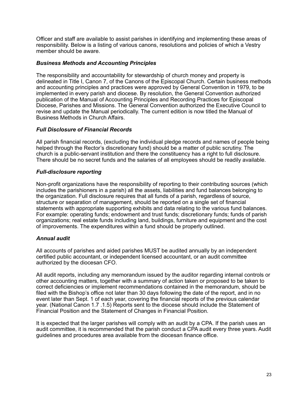Officer and staff are available to assist parishes in identifying and implementing these areas of responsibility. Below is a listing of various canons, resolutions and policies of which a Vestry member should be aware.

#### *Business Methods and Accounting Principles*

The responsibility and accountability for stewardship of church money and property is delineated in Title I, Canon 7, of the Canons of the Episcopal Church. Certain business methods and accounting principles and practices were approved by General Convention in 1979, to be implemented in every parish and diocese. By resolution, the General Convention authorized publication of the Manual of Accounting Principles and Recording Practices for Episcopal Diocese, Parishes and Missions. The General Convention authorized the Executive Council to revise and update the Manual periodically. The current edition is now titled the Manual of Business Methods in Church Affairs.

# *Full Disclosure of Financial Records*

All parish financial records, (excluding the individual pledge records and names of people being helped through the Rector's discretionary fund) should be a matter of public scrutiny. The church is a public-servant institution and there the constituency has a right to full disclosure. There should be no secret funds and the salaries of all employees should be readily available.

# *Full-disclosure reporting*

Non-profit organizations have the responsibility of reporting to their contributing sources (which includes the parishioners in a parish) all the assets, liabilities and fund balances belonging to the organization. Full disclosure requires that all funds of a parish, regardless of source, structure or separation of management, should be reported on a single set of financial statements with appropriate supporting exhibits and data relating to the various fund balances. For example: operating funds; endowment and trust funds; discretionary funds; funds of parish organizations; real estate funds including land, buildings, furniture and equipment and the cost of improvements. The expenditures within a fund should be properly outlined.

# *Annual audit*

All accounts of parishes and aided parishes MUST be audited annually by an independent certified public accountant, or independent licensed accountant, or an audit committee authorized by the diocesan CFO.

All audit reports, including any memorandum issued by the auditor regarding internal controls or other accounting matters, together with a summary of action taken or proposed to be taken to correct deficiencies or implement recommendations contained in the memorandum, should be filed with the Bishop's office not later than 30 days following the date of the report, and in no event later than Sept. 1 of each year, covering the financial reports of the previous calendar year. (National Canon 1.7 .1.5) Reports sent to the diocese should include the Statement of Financial Position and the Statement of Changes in Financial Position.

It is expected that the larger parishes will comply with an audit by a CPA. If the parish uses an audit committee, it is recommended that the parish conduct a CPA audit every three years. Audit guidelines and procedures area available from the diocesan finance office.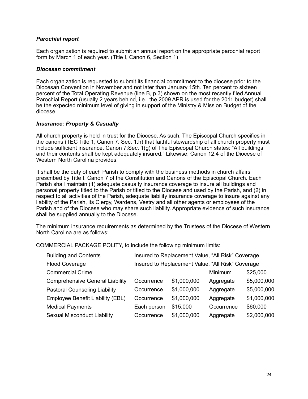# *Parochial report*

Each organization is required to submit an annual report on the appropriate parochial report form by March 1 of each year. (Title I, Canon 6, Section 1)

#### *Diocesan commitment*

Each organization is requested to submit its financial commitment to the diocese prior to the Diocesan Convention in November and not later than January 15th. Ten percent to sixteen percent of the Total Operating Revenue (line B, p.3) shown on the most recently filed Annual Parochial Report (usually 2 years behind, i.e., the 2009 APR is used for the 2011 budget) shall be the expected minimum level of giving in support of the Ministry & Mission Budget of the diocese.

# *Insurance: Property & Casualty*

All church property is held in trust for the Diocese. As such, The Episcopal Church specifies in the canons (TEC Title 1, Canon 7. Sec. 1.h) that faithful stewardship of all church property must include sufficient insurance. Canon 7:Sec. 1(g) of The Episcopal Church states: "All buildings and their contents shall be kept adequately insured." Likewise, Canon 12.4 of the Diocese of Western North Carolina provides:

It shall be the duty of each Parish to comply with the business methods in church affairs prescribed by Title I. Canon 7 of the Constitution and Canons of the Episcopal Church. Each Parish shall maintain (1) adequate casualty insurance coverage to insure all buildings and personal property titled to the Parish or titled to the Diocese and used by the Parish, and (2) in respect to all activities of the Parish, adequate liability insurance coverage to insure against any liability of the Parish, its Clergy, Wardens, Vestry and all other agents or employees of the Parish and of the Diocese who may share such liability. Appropriate evidence of such insurance shall be supplied annually to the Diocese.

The minimum insurance requirements as determined by the Trustees of the Diocese of Western North Carolina are as follows:

COMMERCIAL PACKAGE POLITY, to include the following minimum limits:

| <b>Building and Contents</b>           | Insured to Replacement Value, "All Risk" Coverage |             |            |             |  |
|----------------------------------------|---------------------------------------------------|-------------|------------|-------------|--|
| <b>Flood Coverage</b>                  | Insured to Replacement Value, "All Risk" Coverage |             |            |             |  |
| <b>Commercial Crime</b>                |                                                   |             | Minimum    | \$25,000    |  |
| <b>Comprehensive General Liability</b> | Occurrence                                        | \$1,000,000 | Aggregate  | \$5,000,000 |  |
| <b>Pastoral Counseling Liability</b>   | Occurrence                                        | \$1,000,000 | Aggregate  | \$5,000,000 |  |
| Employee Benefit Liability (EBL)       | Occurrence                                        | \$1,000,000 | Aggregate  | \$1,000,000 |  |
| <b>Medical Payments</b>                | Each person                                       | \$15,000    | Occurrence | \$60,000    |  |
| <b>Sexual Misconduct Liability</b>     | Occurrence                                        | \$1,000,000 | Aggregate  | \$2,000,000 |  |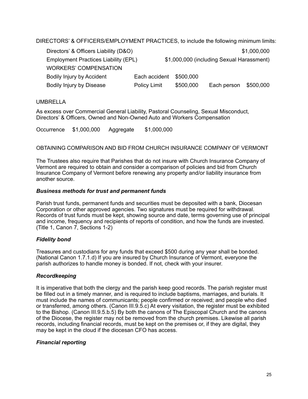DIRECTORS' & OFFICERS/EMPLOYMENT PRACTICES, to include the following minimum limits:

| Directors' & Officers Liability (D&O) |               |                                           |             | \$1,000,000 |  |
|---------------------------------------|---------------|-------------------------------------------|-------------|-------------|--|
| Employment Practices Liability (EPL)  |               | \$1,000,000 (including Sexual Harassment) |             |             |  |
| <b>WORKERS' COMPENSATION</b>          |               |                                           |             |             |  |
| <b>Bodily Injury by Accident</b>      | Each accident | \$500,000                                 |             |             |  |
| Bodily Injury by Disease              | Policy Limit  | \$500,000                                 | Each person | \$500,000   |  |

# UMBRELLA

As excess over Commercial General Liability, Pastoral Counseling, Sexual Misconduct, Directors' & Officers, Owned and Non-Owned Auto and Workers Compensation

Occurrence \$1,000,000 Aggregate \$1,000,000

#### OBTAINING COMPARISON AND BID FROM CHURCH INSURANCE COMPANY OF VERMONT

The Trustees also require that Parishes that do not insure with Church Insurance Company of Vermont are required to obtain and consider a comparison of policies and bid from Church Insurance Company of Vermont before renewing any property and/or liability insurance from another source.

#### *Business methods for trust and permanent funds*

Parish trust funds, permanent funds and securities must be deposited with a bank, Diocesan Corporation or other approved agencies. Two signatures must be required for withdrawal. Records of trust funds must be kept, showing source and date, terms governing use of principal and income, frequency and recipients of reports of condition, and how the funds are invested. (Title 1, Canon 7, Sections 1-2)

# *Fidelity bond*

Treasures and custodians for any funds that exceed \$500 during any year shall be bonded. (National Canon 1.7.1.d) If you are insured by Church Insurance of Vermont, everyone the parish authorizes to handle money is bonded. If not, check with your insurer.

# *Recordkeeping*

It is imperative that both the clergy and the parish keep good records. The parish register must be filled out in a timely manner, and is required to include baptisms, marriages, and burials. It must include the names of communicants; people confirmed or received; and people who died or transferred, among others. (Canon III.9.5.c) At every visitation, the register must be exhibited to the Bishop. (Canon III.9.5.b.5) By both the canons of The Episcopal Church and the canons of the Diocese, the register may not be removed from the church premises. Likewise all parish records, including financial records, must be kept on the premises or, if they are digital, they may be kept in the cloud if the diocesan CFO has access.

# *Financial reporting*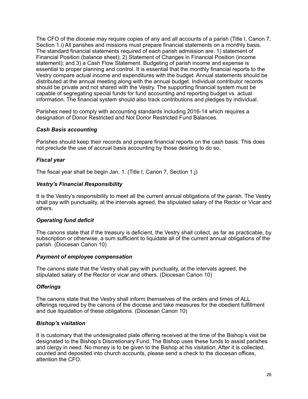The CFO of the diocese may require copies of any and all accounts of a parish (Title I, Canon 7, Section 1.*i*) All parishes and missions must prepare financial statements on a monthly basis. The standard financial statements required of each parish admission are: 1) statement of Financial Position (balance sheet); 2) Statement of Changes in Financial Position (income statement); and 3) a Cash Flow Statement. Budgeting of parish income and expense is essential to proper planning and control. It is essential that the monthly financial reports to the Vestry compare actual income and expenditures with the budget. Annual statements should be distributed at the annual meeting along with the annual budget. Individual contributor records should be private and not shared with the Vestry. The supporting financial system must be capable of segregating special funds for fund accounting and reporting budget vs. actual information. The financial system should also track contributions and pledges by individual.

Parishes need to comply with accounting standards including 2016-14 which requires a designation of Donor Restricted and Not Donor Restricted Fund Balances.

#### *Cash Basis accounting*

Parishes should keep their records and prepare financial reports on the cash basis. This does not preclude the use of accrual basis accounting by those desiring to do so.

#### *Fiscal year*

The fiscal year shall be begin Jan. 1. (Title I, Canon 7, Section 1.j)

#### *Vestry's Financial Responsibility*

It is the Vestry's responsibility to meet all the current annual obligations of the parish. The Vestry shall pay with punctuality, at the intervals agreed, the stipulated salary of the Rector or Vicar and others.

#### *Operating fund deficit*

The canons state that if the treasury is deficient, the Vestry shall collect, as far as practicable, by subscription or otherwise, a sum sufficient to liquidate all of the current annual obligations of the parish. (Diocesan Canon 10)

#### *Payment of employee compensation*

The canons state that the Vestry shall pay with punctuality, at the intervals agreed, the stipulated salary of the Rector or vicar and others. (Diocesan Canon 10)

#### *Offerings*

The canons state that the Vestry shall inform themselves of the orders and times of ALL offerings required by the canons of the diocese and take measures for the obedient fulfillment and due liquidation of these obligations. (Diocesan Canon 10)

# *Bishop's visitation*

It is customary that the undesignated plate offering received at the time of the Bishop's visit be designated to the Bishop's Discretionary Fund. The Bishop uses these funds to assist parishes and clergy in need. No money is to be given to the Bishop at his visitation. After it is collected, counted and deposited into church accounts, please send a check to the diocesan offices, attention the CFO.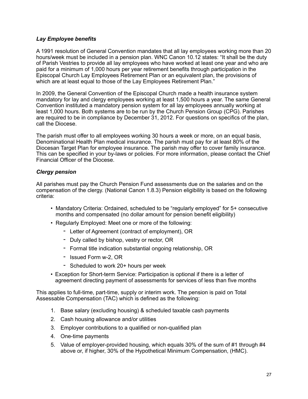#### *Lay Employee benefits*

A 1991 resolution of General Convention mandates that all lay employees working more than 20 hours/week must be included in a pension plan. WNC Canon 10.12 states: "It shall be the duty of Parish Vestries to provide all lay employees who have worked at least one year and who are paid for a minimum of 1,000 hours per year retirement benefits through participation in the Episcopal Church Lay Employees Retirement Plan or an equivalent plan, the provisions of which are at least equal to those of the Lay Employees Retirement Plan."

In 2009, the General Convention of the Episcopal Church made a health insurance system mandatory for lay and clergy employees working at least 1,500 hours a year. The same General Convention instituted a mandatory pension system for all lay employees annually working at least 1,000 hours. Both systems are to be run by the Church Pension Group (CPG). Parishes are required to be in compliance by December 31, 2012. For questions on specifics of the plan, call the Diocese.

The parish must offer to all employees working 30 hours a week or more, on an equal basis, Denominational Health Plan medical insurance. The parish must pay for at least 80% of the Diocesan Target Plan for employee insurance. The parish may offer to cover family insurance. This can be specified in your by-laws or policies. For more information, please contact the Chief Financial Officer of the Diocese.

# *Clergy pension*

All parishes must pay the Church Pension Fund assessments due on the salaries and on the compensation of the clergy. (National Canon 1.8.3) Pension eligibility is based on the following criteria:

- Mandatory Criteria: Ordained, scheduled to be "regularly employed" for 5+ consecutive months and compensated (no dollar amount for pension benefit eligibility)
- Regularly Employed: Meet one or more of the following:
	- Letter of Agreement (contract of employment), OR
	- Duly called by bishop, vestry or rector, OR
	- Formal title indication substantial ongoing relationship, OR
	- Issued Form w-2, OR
	- Scheduled to work 20+ hours per week
- Exception for Short-term Service: Participation is optional if there is a letter of agreement directing payment of assessments for services of less than five months

This applies to full-time, part-time, supply or interim work. The pension is paid on Total Assessable Compensation (TAC) which is defined as the following:

- 1. Base salary (excluding housing) & scheduled taxable cash payments
- 2. Cash housing allowance and/or utilities
- 3. Employer contributions to a qualified or non-qualified plan
- 4. One-time payments
- 5. Value of employer-provided housing, which equals 30% of the sum of #1 through #4 above or, if higher, 30% of the Hypothetical Minimum Compensation, (HMC).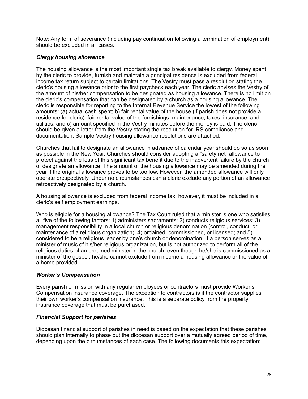Note: Any form of severance (including pay continuation following a termination of employment) should be excluded in all cases.

# *Clergy housing allowance*

The housing allowance is the most important single tax break available to clergy. Money spent by the cleric to provide, furnish and maintain a principal residence is excluded from federal income tax return subject to certain limitations. The Vestry must pass a resolution stating the cleric's housing allowance prior to the first paycheck each year. The cleric advises the Vestry of the amount of his/her compensation to be designated as housing allowance. There is no limit on the cleric's compensation that can be designated by a church as a housing allowance. The cleric is responsible for reporting to the Internal Revenue Service the lowest of the following amounts: (a) actual cash spent; b) fair rental value of the house (if parish does not provide a residence for cleric), fair rental value of the furnishings, maintenance, taxes, insurance, and utilities; and c) amount specified in the Vestry minutes before the money is paid. The cleric should be given a letter from the Vestry stating the resolution for IRS compliance and documentation. Sample Vestry housing allowance resolutions are attached.

Churches that fail to designate an allowance in advance of calendar year should do so as soon as possible in the New Year. Churches should consider adopting a "safety net" allowance to protect against the loss of this significant tax benefit due to the inadvertent failure by the church of designate an allowance. The amount of the housing allowance may be amended during the year if the original allowance proves to be too low. However, the amended allowance will only operate prospectively. Under no circumstances can a cleric exclude any portion of an allowance retroactively designated by a church.

A housing allowance is excluded from federal income tax: however, it must be included in a cleric's self employment earnings.

Who is eligible for a housing allowance? The Tax Court ruled that a minister is one who satisfies all five of the following factors: 1) administers sacraments; 2) conducts religious services; 3) management responsibility in a local church or religious denomination (control, conduct, or maintenance of a religious organization); 4) ordained, commissioned, or licensed; and 5) considered to be a religious leader by one's church or denomination. If a person serves as a minister of music of his/her religious organization, but is not authorized to perform all of the religious duties of an ordained minister in the church, even though he/she is commissioned as a minister of the gospel, he/she cannot exclude from income a housing allowance or the value of a home provided.

# *Worker's Compensation*

Every parish or mission with any regular employees or contractors must provide Worker's Compensation insurance coverage. The exception to contractors is if the contractor supplies their own worker's compensation insurance. This is a separate policy from the property insurance coverage that must be purchased.

# *Financial Support for parishes*

Diocesan financial support of parishes in need is based on the expectation that these parishes should plan internally to phase out the diocesan support over a mutually agreed period of time, depending upon the circumstances of each case. The following documents this expectation: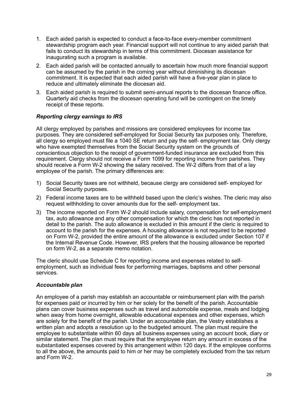- 1. Each aided parish is expected to conduct a face-to-face every-member commitment stewardship program each year. Financial support will not continue to any aided parish that fails to conduct its stewardship in terms of this commitment. Diocesan assistance for inaugurating such a program is available.
- 2. Each aided parish will be contacted annually to ascertain how much more financial support can be assumed by the parish in the coming year without diminishing its diocesan commitment. It is expected that each aided parish will have a five-year plan in place to reduce and ultimately eliminate the diocesan aid.
- 3. Each aided parish is required to submit semi-annual reports to the diocesan finance office. Quarterly aid checks from the diocesan operating fund will be contingent on the timely receipt of these reports.

# *Reporting clergy earnings to IRS*

All clergy employed by parishes and missions are considered employees for income tax purposes. They are considered self-employed for Social Security tax purposes only. Therefore, all clergy so employed must file a 1040 SE return and pay the self- employment tax. Only clergy who have exempted themselves from the Social Security system on the grounds of conscientious objection to the receipt of government-funded insurance are excluded from this requirement. Clergy should not receive a Form 1099 for reporting income from parishes. They should receive a Form W-2 showing the salary received. The W-2 differs from that of a lay employee of the parish. The primary differences are:

- 1) Social Security taxes are not withheld, because clergy are considered self- employed for Social Security purposes.
- 2) Federal income taxes are to be withheld based upon the cleric's wishes. The cleric may also request withholding to cover amounts due for the self- employment tax.
- 3) The income reported on Form W-2 should include salary, compensation for self-employment tax, auto allowance and any other compensation for which the cleric has not reported in detail to the parish. The auto allowance is excluded in this amount if the cleric is required to account to the parish for the expenses. A housing allowance is not required to be reported on Form W-2, provided the entire amount of the allowance is excluded under Section 107 if the Internal Revenue Code. However, IRS prefers that the housing allowance be reported on form W-2, as a separate memo notation.

The cleric should use Schedule C for reporting income and expenses related to selfemployment, such as individual fees for performing marriages, baptisms and other personal services.

# *Accountable plan*

An employee of a parish may establish an accountable or reimbursement plan with the parish for expenses paid or incurred by him or her solely for the benefit of the parish. Accountable plans can cover business expenses such as travel and automobile expense, meals and lodging when away from home overnight, allowable educational expenses and other expenses, which are solely for the benefit of the parish. Under an accountable plan, the Vestry establishes a written plan and adopts a resolution up to the budgeted amount. The plan must require the employee to substantiate within 60 days all business expenses using an account book, diary or similar statement. The plan must require that the employee return any amount in excess of the substantiated expenses covered by this arrangement within 120 days. If the employee conforms to all the above, the amounts paid to him or her may be completely excluded from the tax return and Form W-2.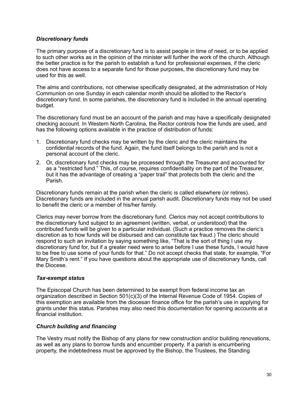# *Discretionary funds*

The primary purpose of a discretionary fund is to assist people in time of need, or to be applied to such other works as in the opinion of the minister will further the work of the church. Although the better practice is for the parish to establish a fund for professional expenses, if the cleric does not have access to a separate fund for those purposes, the discretionary fund may be used for this as well.

The alms and contributions, not otherwise specifically designated, at the administration of Holy Communion on one Sunday in each calendar month should be allotted to the Rector's discretionary fund. In some parishes, the discretionary fund is included in the annual operating budget.

The discretionary fund must be an account of the parish and may have a specifically designated checking account. In Western North Carolina, the Rector controls how the funds are used, and has the following options available in the practice of distribution of funds:

- 1. Discretionary fund checks may be written by the cleric and the cleric maintains the confidential records of the fund. Again, the fund itself belongs to the parish and is not a personal account of the cleric.
- 2. Or, discretionary fund checks may be processed through the Treasurer and accounted for as a "restricted fund." This, of course, requires confidentiality on the part of the Treasurer, but it has the advantage of creating a "paper trail" that protects both the cleric and the Parish.

Discretionary funds remain at the parish when the cleric is called elsewhere (or retires). Discretionary funds are included in the annual parish audit. Discretionary funds may not be used to benefit the cleric or a member of his/her family.

Clerics may never borrow from the discretionary fund. Clerics may not accept contributions to the discretionary fund subject to an agreement (written, verbal, or understood) that the contributed funds will be given to a particular individual. (Such a practice removes the cleric's discretion as to how funds will be disbursed and can constitute tax fraud.) The cleric should respond to such an invitation by saying something like, "That is the sort of thing I use my discretionary fund for, but if a greater need were to arise before I use these funds, I would have to be free to use some of your funds for that." Do not accept checks that state, for example, "For Mary Smith's rent." If you have questions about the appropriate use of discretionary funds, call the Diocese.

#### *Tax***‐***exempt status*

The Episcopal Church has been determined to be exempt from federal income tax an organization described in Section 501(c)(3) of the Internal Revenue Code of 1954. Copies of this exemption are available from the diocesan finance office for the parish's use in applying for grants under this status. Parishes may also need this documentation for opening accounts at a financial institution.

#### *Church building and financing*

The Vestry must notify the Bishop of any plans for new construction and/or building renovations, as well as any plans to borrow funds and encumber property. If a parish is encumbering property, the indebtedness must be approved by the Bishop, the Trustees, the Standing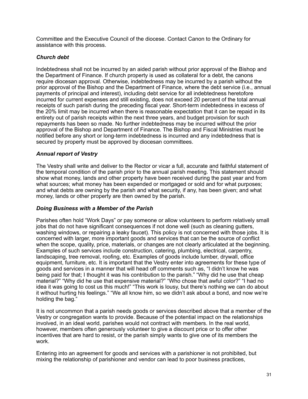Committee and the Executive Council of the diocese. Contact Canon to the Ordinary for assistance with this process.

# *Church debt*

Indebtedness shall not be incurred by an aided parish without prior approval of the Bishop and the Department of Finance. If church property is used as collateral for a debt, the canons require diocesan approval. Otherwise, indebtedness may be incurred by a parish without the prior approval of the Bishop and the Department of Finance, where the debt service (i.e., annual payments of principal and interest), including debt service for all indebtedness heretofore incurred for current expenses and still existing, does not exceed 20 percent of the total annual receipts of such parish during the preceding fiscal year. Short-term indebtedness in excess of the 20% limit may be incurred when there is reasonable expectation that it can be repaid in its entirety out of parish receipts within the next three years, and budget provision for such repayments has been so made. No further indebtedness may be incurred without the prior approval of the Bishop and Department of Finance. The Bishop and Fiscal Ministries must be notified before any short or long-term indebtedness is incurred and any indebtedness that is secured by property must be approved by diocesan committees.

# *Annual report of Vestry*

The Vestry shall write and deliver to the Rector or vicar a full, accurate and faithful statement of the temporal condition of the parish prior to the annual parish meeting. This statement should show what money, lands and other property have been received during the past year and from what sources; what money has been expended or mortgaged or sold and for what purposes; and what debts are owning by the parish and what security, if any, has been given; and what money, lands or other property are then owned by the parish.

# *Doing Business with a Member of the Parish*

Parishes often hold "Work Days" or pay someone or allow volunteers to perform relatively small jobs that do not have significant consequences if not done well (such as cleaning gutters, washing windows, or repairing a leaky faucet). This policy is not concerned with those jobs. It is concerned with larger, more important goods and services that can be the source of conflict when the scope, quality, price, materials, or changes are not clearly articulated at the beginning. Examples of such services include construction, catering, plumbing, electrical, carpentry, landscaping, tree removal, roofing, etc. Examples of goods include lumber, drywall, office equipment, furniture, etc. It is important that the Vestry enter into agreements for these type of goods and services in a manner that will head off comments such as, "I didn't know he was being paid for that; I thought it was his contribution to the parish." "Why did he use that cheap material?" "Why did he use that expensive material?" "Who chose that awful color?" "I had no idea it was going to cost us this much!" "This work is lousy, but there's nothing we can do about it without hurting his feelings." "We all know him, so we didn't ask about a bond, and now we're holding the bag."

It is not uncommon that a parish needs goods or services described above that a member of the Vestry or congregation wants to provide. Because of the potential impact on the relationships involved, in an ideal world, parishes would not contract with members. In the real world, however, members often generously volunteer to give a discount price or to offer other incentives that are hard to resist, or the parish simply wants to give one of its members the work.

Entering into an agreement for goods and services with a parishioner is not prohibited, but mixing the relationship of parishioner and vendor can lead to poor business practices,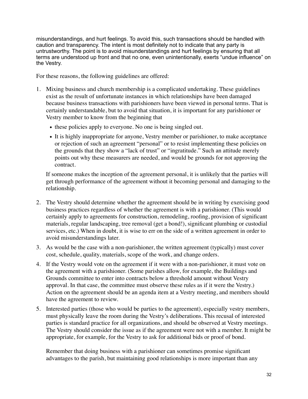misunderstandings, and hurt feelings. To avoid this, such transactions should be handled with caution and transparency. The intent is most definitely not to indicate that any party is untrustworthy. The point is to avoid misunderstandings and hurt feelings by ensuring that all terms are understood up front and that no one, even unintentionally, exerts "undue influence" on the Vestry.

For these reasons, the following guidelines are offered:

- 1. Mixing business and church membership is a complicated undertaking. These guidelines exist as the result of unfortunate instances in which relationships have been damaged because business transactions with parishioners have been viewed in personal terms. That is certainly understandable, but to avoid that situation, it is important for any parishioner or Vestry member to know from the beginning that
	- these policies apply to everyone. No one is being singled out.
	- It is highly inappropriate for anyone, Vestry member or parishioner, to make acceptance or rejection of such an agreement "personal" or to resist implementing these policies on the grounds that they show a "lack of trust" or "ingratitude." Such an attitude merely points out why these measurers are needed, and would be grounds for not approving the contract.

If someone makes the inception of the agreement personal, it is unlikely that the parties will get through performance of the agreement without it becoming personal and damaging to the relationship.

- 2. The Vestry should determine whether the agreement should be in writing by exercising good business practices regardless of whether the agreement is with a parishioner. (This would certainly apply to agreements for construction, remodeling, roofing, provision of significant materials, regular landscaping, tree removal (get a bond!), significant plumbing or custodial services, etc.) When in doubt, it is wise to err on the side of a written agreement in order to avoid misunderstandings later.
- 3. As would be the case with a non-parishioner, the written agreement (typically) must cover cost, schedule, quality, materials, scope of the work, and change orders.
- 4. If the Vestry would vote on the agreement if it were with a non-parishioner, it must vote on the agreement with a parishioner. (Some parishes allow, for example, the Buildings and Grounds committee to enter into contracts below a threshold amount without Vestry approval. In that case, the committee must observe these rules as if it were the Vestry.) Action on the agreement should be an agenda item at a Vestry meeting, and members should have the agreement to review.
- 5. Interested parties (those who would be parties to the agreement), especially vestry members, must physically leave the room during the Vestry's deliberations. This recusal of interested parties is standard practice for all organizations, and should be observed at Vestry meetings. The Vestry should consider the issue as if the agreement were not with a member. It might be appropriate, for example, for the Vestry to ask for additional bids or proof of bond.

Remember that doing business with a parishioner can sometimes promise significant advantages to the parish, but maintaining good relationships is more important than any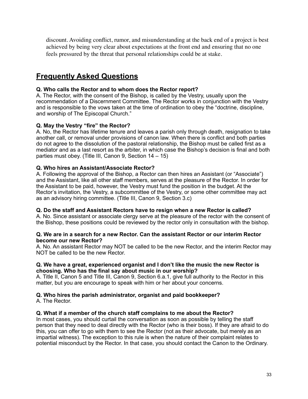discount. Avoiding conflict, rumor, and misunderstanding at the back end of a project is best achieved by being very clear about expectations at the front end and ensuring that no one feels pressured by the threat that personal relationships could be at stake.

# **Frequently Asked Questions**

# **Q. Who calls the Rector and to whom does the Rector report?**

A. The Rector, with the consent of the Bishop, is called by the Vestry, usually upon the recommendation of a Discernment Committee. The Rector works in conjunction with the Vestry and is responsible to the vows taken at the time of ordination to obey the "doctrine, discipline, and worship of The Episcopal Church."

#### **Q. May the Vestry "fire" the Rector?**

A. No, the Rector has lifetime tenure and leaves a parish only through death, resignation to take another call, or removal under provisions of canon law. When there is conflict and both parties do not agree to the dissolution of the pastoral relationship, the Bishop must be called first as a mediator and as a last resort as the arbiter, in which case the Bishop's decision is final and both parties must obey. (Title III, Canon 9, Section 14 – 15)

#### **Q. Who hires an Assistant/Associate Rector?**

A. Following the approval of the Bishop, a Rector can then hires an Assistant (or "Associate") and the Assistant, like all other staff members, serves at the pleasure of the Rector. In order for the Assistant to be paid, however, the Vestry must fund the position in the budget. At the Rector's invitation, the Vestry, a subcommittee of the Vestry, or some other committee may act as an advisory hiring committee. (Title III, Canon 9, Section 3.c)

#### **Q. Do the staff and Assistant Rectors have to resign when a new Rector is called?**

A. No. Since assistant or associate clergy serve at the pleasure of the rector with the consent of the Bishop, these positions could be reviewed by the rector only in consultation with the bishop.

#### **Q. We are in a search for a new Rector. Can the assistant Rector or our interim Rector become our new Rector?**

A. No. An assistant Rector may NOT be called to be the new Rector, and the interim Rector may NOT be called to be the new Rector.

#### **Q. We have a great, experienced organist and I don't like the music the new Rector is choosing. Who has the final say about music in our worship?**

A. Title II, Canon 5 and Title III, Canon 9, Section 6.a.1, give full authority to the Rector in this matter, but you are encourage to speak with him or her about your concerns.

#### **Q. Who hires the parish administrator, organist and paid bookkeeper?**  A. The Rector.

# **Q. What if a member of the church staff complains to me about the Rector?**

In most cases, you should curtail the conversation as soon as possible by telling the staff person that they need to deal directly with the Rector (who is their boss). If they are afraid to do this, you can offer to go with them to see the Rector (not as their advocate, but merely as an impartial witness). The exception to this rule is when the nature of their complaint relates to potential misconduct by the Rector. In that case, you should contact the Canon to the Ordinary.